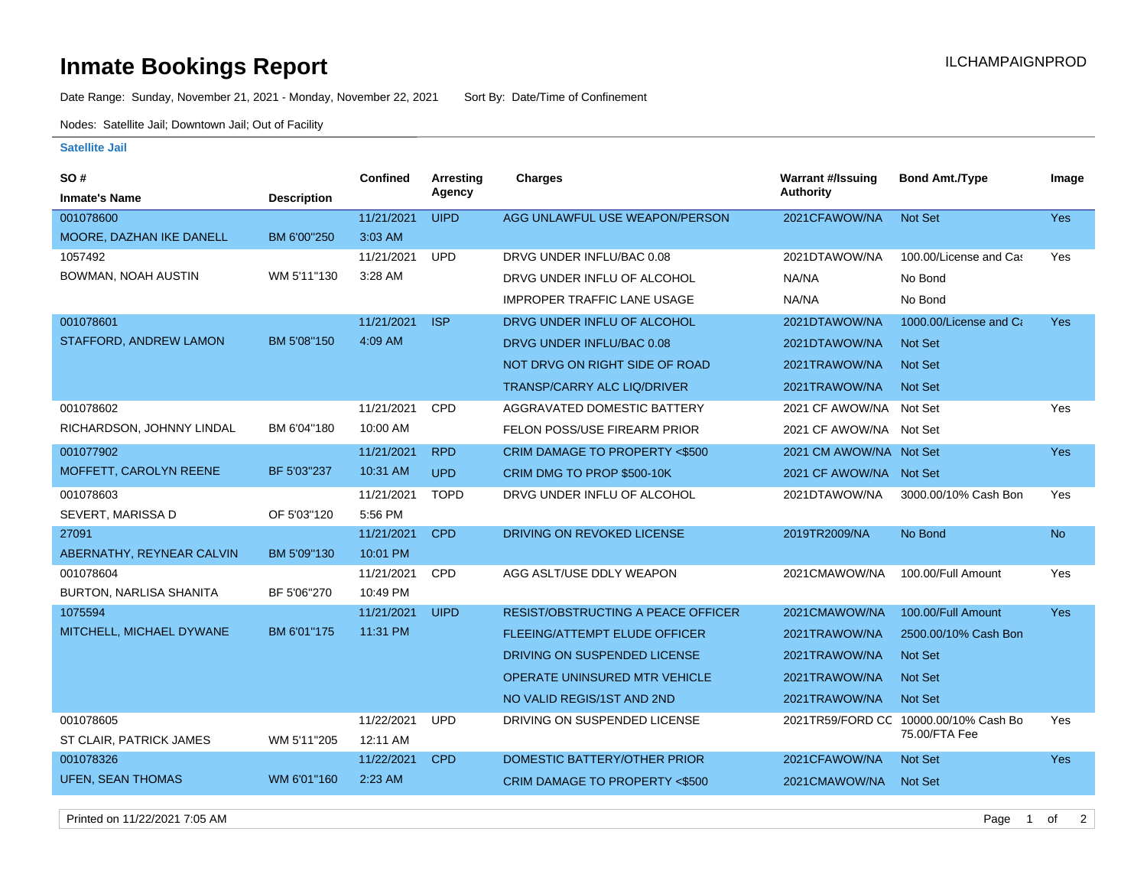## **Inmate Bookings Report International Contract Contract Contract Contract Contract Contract Contract Contract Contract Contract Contract Contract Contract Contract Contract Contract Contract Contract Contract Contract Co**

Date Range: Sunday, November 21, 2021 - Monday, November 22, 2021 Sort By: Date/Time of Confinement

Nodes: Satellite Jail; Downtown Jail; Out of Facility

## **Satellite Jail**

| SO#                            |                    | <b>Confined</b> | <b>Arresting</b> | Charges                                   | <b>Warrant #/Issuing</b> | <b>Bond Amt./Type</b>                 | Image      |
|--------------------------------|--------------------|-----------------|------------------|-------------------------------------------|--------------------------|---------------------------------------|------------|
| <b>Inmate's Name</b>           | <b>Description</b> |                 | Agency           |                                           | <b>Authority</b>         |                                       |            |
| 001078600                      |                    | 11/21/2021      | <b>UIPD</b>      | AGG UNLAWFUL USE WEAPON/PERSON            | 2021CFAWOW/NA            | <b>Not Set</b>                        | <b>Yes</b> |
| MOORE, DAZHAN IKE DANELL       | BM 6'00"250        | 3:03 AM         |                  |                                           |                          |                                       |            |
| 1057492                        |                    | 11/21/2021      | <b>UPD</b>       | DRVG UNDER INFLU/BAC 0.08                 | 2021DTAWOW/NA            | 100.00/License and Cas                | Yes        |
| BOWMAN, NOAH AUSTIN            | WM 5'11"130        | 3:28 AM         |                  | DRVG UNDER INFLU OF ALCOHOL               | NA/NA                    | No Bond                               |            |
|                                |                    |                 |                  | <b>IMPROPER TRAFFIC LANE USAGE</b>        | NA/NA                    | No Bond                               |            |
| 001078601                      |                    | 11/21/2021      | <b>ISP</b>       | DRVG UNDER INFLU OF ALCOHOL               | 2021DTAWOW/NA            | 1000.00/License and Ca                | <b>Yes</b> |
| STAFFORD, ANDREW LAMON         | BM 5'08"150        | 4:09 AM         |                  | DRVG UNDER INFLU/BAC 0.08                 | 2021DTAWOW/NA            | <b>Not Set</b>                        |            |
|                                |                    |                 |                  | NOT DRVG ON RIGHT SIDE OF ROAD            | 2021TRAWOW/NA            | <b>Not Set</b>                        |            |
|                                |                    |                 |                  | <b>TRANSP/CARRY ALC LIQ/DRIVER</b>        | 2021TRAWOW/NA            | <b>Not Set</b>                        |            |
| 001078602                      |                    | 11/21/2021      | CPD              | AGGRAVATED DOMESTIC BATTERY               | 2021 CF AWOW/NA          | Not Set                               | Yes        |
| RICHARDSON, JOHNNY LINDAL      | BM 6'04"180        | 10:00 AM        |                  | FELON POSS/USE FIREARM PRIOR              | 2021 CF AWOW/NA Not Set  |                                       |            |
| 001077902                      |                    | 11/21/2021      | <b>RPD</b>       | CRIM DAMAGE TO PROPERTY <\$500            | 2021 CM AWOW/NA Not Set  |                                       | <b>Yes</b> |
| MOFFETT, CAROLYN REENE         | BF 5'03"237        | 10:31 AM        | <b>UPD</b>       | CRIM DMG TO PROP \$500-10K                | 2021 CF AWOW/NA Not Set  |                                       |            |
| 001078603                      |                    | 11/21/2021      | <b>TOPD</b>      | DRVG UNDER INFLU OF ALCOHOL               | 2021DTAWOW/NA            | 3000.00/10% Cash Bon                  | Yes        |
| SEVERT, MARISSA D              | OF 5'03"120        | 5:56 PM         |                  |                                           |                          |                                       |            |
| 27091                          |                    | 11/21/2021      | <b>CPD</b>       | DRIVING ON REVOKED LICENSE                | 2019TR2009/NA            | No Bond                               | <b>No</b>  |
| ABERNATHY, REYNEAR CALVIN      | BM 5'09"130        | 10:01 PM        |                  |                                           |                          |                                       |            |
| 001078604                      |                    | 11/21/2021      | CPD              | AGG ASLT/USE DDLY WEAPON                  | 2021CMAWOW/NA            | 100.00/Full Amount                    | Yes        |
| <b>BURTON, NARLISA SHANITA</b> | BF 5'06"270        | 10:49 PM        |                  |                                           |                          |                                       |            |
| 1075594                        |                    | 11/21/2021      | <b>UIPD</b>      | <b>RESIST/OBSTRUCTING A PEACE OFFICER</b> | 2021CMAWOW/NA            | 100.00/Full Amount                    | <b>Yes</b> |
| MITCHELL, MICHAEL DYWANE       | BM 6'01"175        | 11:31 PM        |                  | <b>FLEEING/ATTEMPT ELUDE OFFICER</b>      | 2021TRAWOW/NA            | 2500.00/10% Cash Bon                  |            |
|                                |                    |                 |                  | DRIVING ON SUSPENDED LICENSE              | 2021TRAWOW/NA            | <b>Not Set</b>                        |            |
|                                |                    |                 |                  | OPERATE UNINSURED MTR VEHICLE             | 2021TRAWOW/NA            | <b>Not Set</b>                        |            |
|                                |                    |                 |                  | NO VALID REGIS/1ST AND 2ND                | 2021TRAWOW/NA            | <b>Not Set</b>                        |            |
| 001078605                      |                    | 11/22/2021      | <b>UPD</b>       | DRIVING ON SUSPENDED LICENSE              |                          | 2021TR59/FORD CC 10000.00/10% Cash Bo | Yes        |
| ST CLAIR, PATRICK JAMES        | WM 5'11"205        | 12:11 AM        |                  |                                           |                          | 75.00/FTA Fee                         |            |
| 001078326                      |                    | 11/22/2021      | <b>CPD</b>       | DOMESTIC BATTERY/OTHER PRIOR              | 2021CFAWOW/NA            | <b>Not Set</b>                        | <b>Yes</b> |
| <b>UFEN, SEAN THOMAS</b>       | WM 6'01"160        | 2:23 AM         |                  | CRIM DAMAGE TO PROPERTY <\$500            | 2021CMAWOW/NA            | <b>Not Set</b>                        |            |

Printed on 11/22/2021 7:05 AM Page 1 of 2